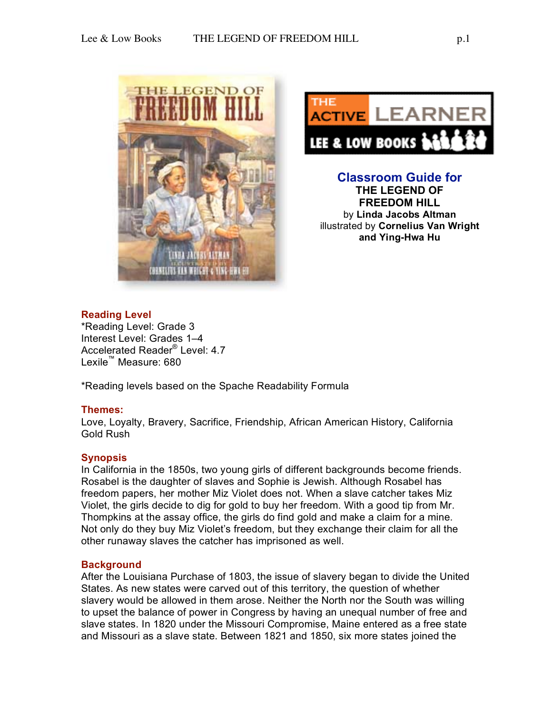



**Classroom Guide for THE LEGEND OF FREEDOM HILL** by **Linda Jacobs Altman** illustrated by **Cornelius Van Wright and Ying-Hwa Hu**

# **Reading Level**

\*Reading Level: Grade 3 Interest Level: Grades 1–4 Accelerated Reader® Level: 4.7 Lexile™ Measure: 680

\*Reading levels based on the Spache Readability Formula

#### **Themes:**

Love, Loyalty, Bravery, Sacrifice, Friendship, African American History, California Gold Rush

### **Synopsis**

In California in the 1850s, two young girls of different backgrounds become friends. Rosabel is the daughter of slaves and Sophie is Jewish. Although Rosabel has freedom papers, her mother Miz Violet does not. When a slave catcher takes Miz Violet, the girls decide to dig for gold to buy her freedom. With a good tip from Mr. Thompkins at the assay office, the girls do find gold and make a claim for a mine. Not only do they buy Miz Violet's freedom, but they exchange their claim for all the other runaway slaves the catcher has imprisoned as well.

### **Background**

After the Louisiana Purchase of 1803, the issue of slavery began to divide the United States. As new states were carved out of this territory, the question of whether slavery would be allowed in them arose. Neither the North nor the South was willing to upset the balance of power in Congress by having an unequal number of free and slave states. In 1820 under the Missouri Compromise, Maine entered as a free state and Missouri as a slave state. Between 1821 and 1850, six more states joined the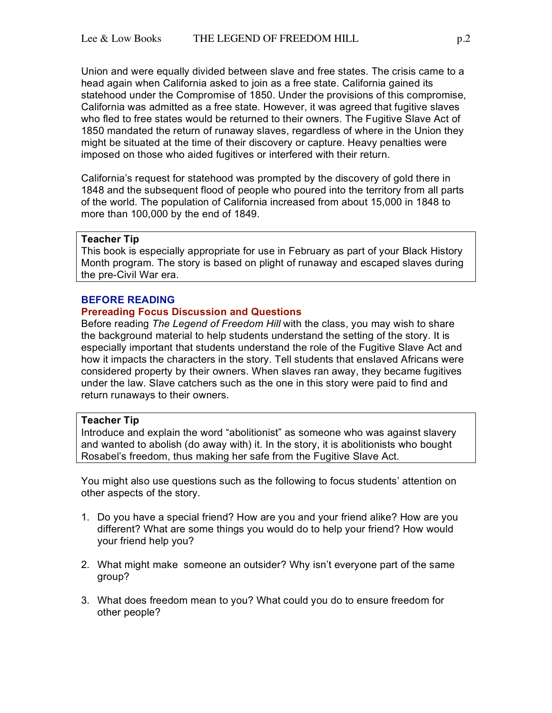Union and were equally divided between slave and free states. The crisis came to a head again when California asked to join as a free state. California gained its statehood under the Compromise of 1850. Under the provisions of this compromise, California was admitted as a free state. However, it was agreed that fugitive slaves who fled to free states would be returned to their owners. The Fugitive Slave Act of 1850 mandated the return of runaway slaves, regardless of where in the Union they might be situated at the time of their discovery or capture. Heavy penalties were imposed on those who aided fugitives or interfered with their return.

California's request for statehood was prompted by the discovery of gold there in 1848 and the subsequent flood of people who poured into the territory from all parts of the world. The population of California increased from about 15,000 in 1848 to more than 100,000 by the end of 1849.

## **Teacher Tip**

This book is especially appropriate for use in February as part of your Black History Month program. The story is based on plight of runaway and escaped slaves during the pre-Civil War era.

#### **BEFORE READING**

#### **Prereading Focus Discussion and Questions**

Before reading *The Legend of Freedom Hill* with the class, you may wish to share the background material to help students understand the setting of the story. It is especially important that students understand the role of the Fugitive Slave Act and how it impacts the characters in the story. Tell students that enslaved Africans were considered property by their owners. When slaves ran away, they became fugitives under the law. Slave catchers such as the one in this story were paid to find and return runaways to their owners.

#### **Teacher Tip**

Introduce and explain the word "abolitionist" as someone who was against slavery and wanted to abolish (do away with) it. In the story, it is abolitionists who bought Rosabel's freedom, thus making her safe from the Fugitive Slave Act.

You might also use questions such as the following to focus students' attention on other aspects of the story.

- 1. Do you have a special friend? How are you and your friend alike? How are you different? What are some things you would do to help your friend? How would your friend help you?
- 2. What might make someone an outsider? Why isn't everyone part of the same group?
- 3. What does freedom mean to you? What could you do to ensure freedom for other people?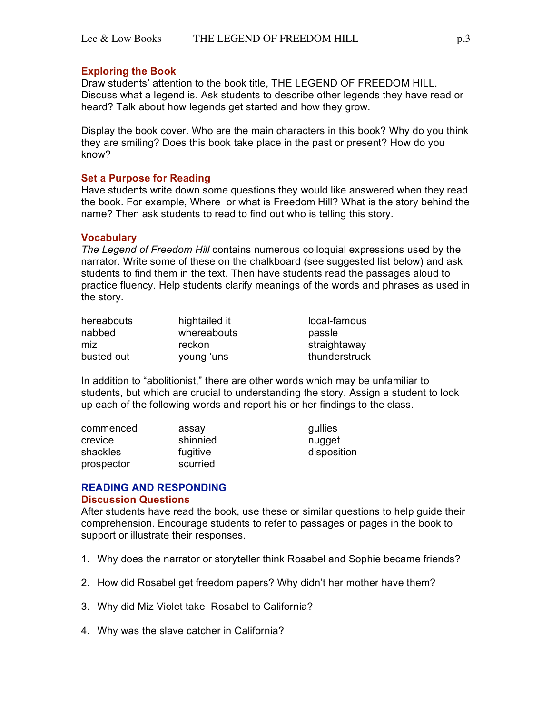### **Exploring the Book**

Draw students' attention to the book title, THE LEGEND OF FREEDOM HILL. Discuss what a legend is. Ask students to describe other legends they have read or heard? Talk about how legends get started and how they grow.

Display the book cover. Who are the main characters in this book? Why do you think they are smiling? Does this book take place in the past or present? How do you know?

### **Set a Purpose for Reading**

Have students write down some questions they would like answered when they read the book. For example, Where or what is Freedom Hill? What is the story behind the name? Then ask students to read to find out who is telling this story.

### **Vocabulary**

*The Legend of Freedom Hill* contains numerous colloquial expressions used by the narrator. Write some of these on the chalkboard (see suggested list below) and ask students to find them in the text. Then have students read the passages aloud to practice fluency. Help students clarify meanings of the words and phrases as used in the story.

| hereabouts | hightailed it | local-famous  |
|------------|---------------|---------------|
| nabbed     | whereabouts   | passle        |
| miz        | reckon        | straightaway  |
| busted out | young 'uns    | thunderstruck |

In addition to "abolitionist," there are other words which may be unfamiliar to students, but which are crucial to understanding the story. Assign a student to look up each of the following words and report his or her findings to the class.

| commenced  | assay    | gullies     |
|------------|----------|-------------|
| crevice    | shinnied | nugget      |
| shackles   | fugitive | disposition |
| prospector | scurried |             |

#### **READING AND RESPONDING Discussion Questions**

After students have read the book, use these or similar questions to help guide their comprehension. Encourage students to refer to passages or pages in the book to support or illustrate their responses.

- 1. Why does the narrator or storyteller think Rosabel and Sophie became friends?
- 2. How did Rosabel get freedom papers? Why didn't her mother have them?
- 3. Why did Miz Violet take Rosabel to California?
- 4. Why was the slave catcher in California?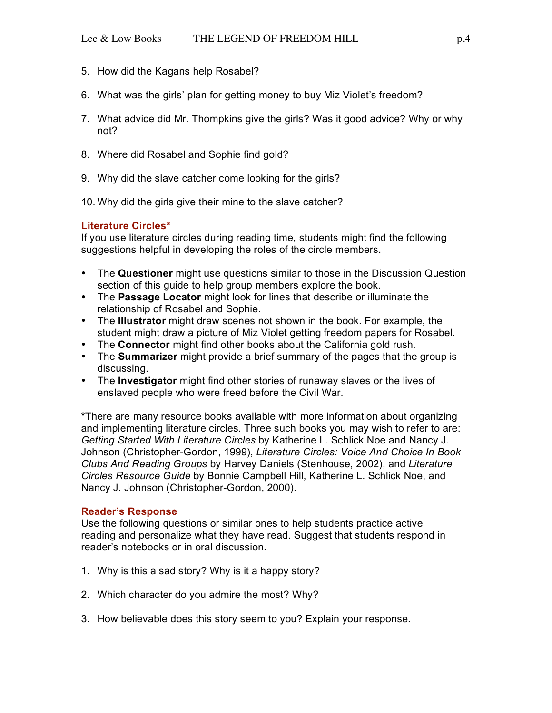- 5. How did the Kagans help Rosabel?
- 6. What was the girls' plan for getting money to buy Miz Violet's freedom?
- 7. What advice did Mr. Thompkins give the girls? Was it good advice? Why or why not?
- 8. Where did Rosabel and Sophie find gold?
- 9. Why did the slave catcher come looking for the girls?
- 10. Why did the girls give their mine to the slave catcher?

# **Literature Circles\***

If you use literature circles during reading time, students might find the following suggestions helpful in developing the roles of the circle members.

- The **Questioner** might use questions similar to those in the Discussion Question section of this guide to help group members explore the book.
- The **Passage Locator** might look for lines that describe or illuminate the relationship of Rosabel and Sophie.
- The **Illustrator** might draw scenes not shown in the book. For example, the student might draw a picture of Miz Violet getting freedom papers for Rosabel.
- The **Connector** might find other books about the California gold rush.
- The **Summarizer** might provide a brief summary of the pages that the group is discussing.
- The **Investigator** might find other stories of runaway slaves or the lives of enslaved people who were freed before the Civil War.

**\***There are many resource books available with more information about organizing and implementing literature circles. Three such books you may wish to refer to are: *Getting Started With Literature Circles* by Katherine L. Schlick Noe and Nancy J. Johnson (Christopher-Gordon, 1999), *Literature Circles: Voice And Choice In Book Clubs And Reading Groups* by Harvey Daniels (Stenhouse, 2002), and *Literature Circles Resource Guide* by Bonnie Campbell Hill, Katherine L. Schlick Noe, and Nancy J. Johnson (Christopher-Gordon, 2000).

# **Reader's Response**

Use the following questions or similar ones to help students practice active reading and personalize what they have read. Suggest that students respond in reader's notebooks or in oral discussion.

- 1. Why is this a sad story? Why is it a happy story?
- 2. Which character do you admire the most? Why?
- 3. How believable does this story seem to you? Explain your response.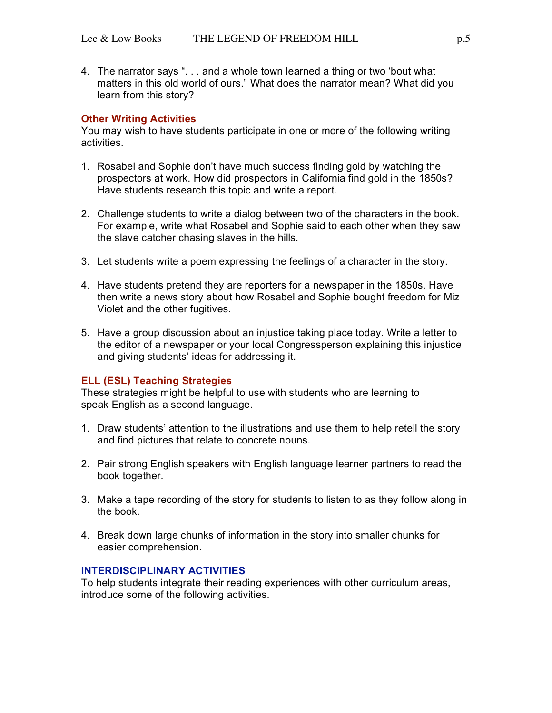4. The narrator says ". . . and a whole town learned a thing or two 'bout what matters in this old world of ours." What does the narrator mean? What did you learn from this story?

#### **Other Writing Activities**

You may wish to have students participate in one or more of the following writing activities.

- 1. Rosabel and Sophie don't have much success finding gold by watching the prospectors at work. How did prospectors in California find gold in the 1850s? Have students research this topic and write a report.
- 2. Challenge students to write a dialog between two of the characters in the book. For example, write what Rosabel and Sophie said to each other when they saw the slave catcher chasing slaves in the hills.
- 3. Let students write a poem expressing the feelings of a character in the story.
- 4. Have students pretend they are reporters for a newspaper in the 1850s. Have then write a news story about how Rosabel and Sophie bought freedom for Miz Violet and the other fugitives.
- 5. Have a group discussion about an injustice taking place today. Write a letter to the editor of a newspaper or your local Congressperson explaining this injustice and giving students' ideas for addressing it.

### **ELL (ESL) Teaching Strategies**

These strategies might be helpful to use with students who are learning to speak English as a second language.

- 1. Draw students' attention to the illustrations and use them to help retell the story and find pictures that relate to concrete nouns.
- 2. Pair strong English speakers with English language learner partners to read the book together.
- 3. Make a tape recording of the story for students to listen to as they follow along in the book.
- 4. Break down large chunks of information in the story into smaller chunks for easier comprehension.

#### **INTERDISCIPLINARY ACTIVITIES**

To help students integrate their reading experiences with other curriculum areas, introduce some of the following activities.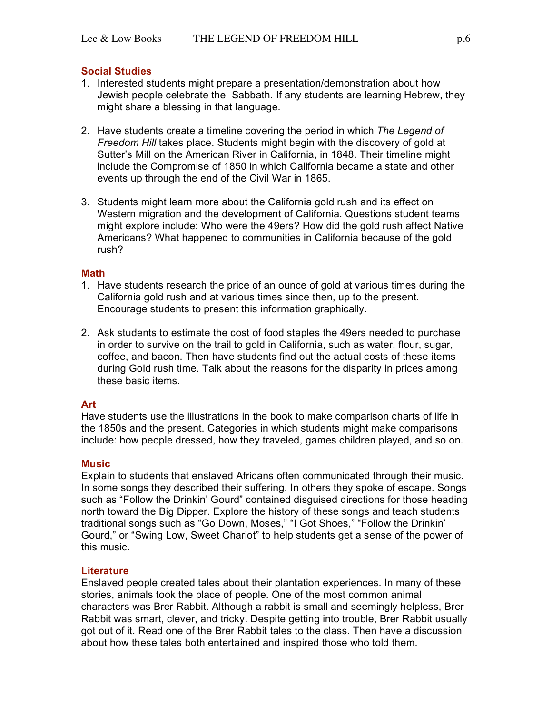### **Social Studies**

- 1. Interested students might prepare a presentation/demonstration about how Jewish people celebrate the Sabbath. If any students are learning Hebrew, they might share a blessing in that language.
- 2. Have students create a timeline covering the period in which *The Legend of Freedom Hill* takes place. Students might begin with the discovery of gold at Sutter's Mill on the American River in California, in 1848. Their timeline might include the Compromise of 1850 in which California became a state and other events up through the end of the Civil War in 1865.
- 3. Students might learn more about the California gold rush and its effect on Western migration and the development of California. Questions student teams might explore include: Who were the 49ers? How did the gold rush affect Native Americans? What happened to communities in California because of the gold rush?

#### **Math**

- 1. Have students research the price of an ounce of gold at various times during the California gold rush and at various times since then, up to the present. Encourage students to present this information graphically.
- 2. Ask students to estimate the cost of food staples the 49ers needed to purchase in order to survive on the trail to gold in California, such as water, flour, sugar, coffee, and bacon. Then have students find out the actual costs of these items during Gold rush time. Talk about the reasons for the disparity in prices among these basic items.

#### **Art**

Have students use the illustrations in the book to make comparison charts of life in the 1850s and the present. Categories in which students might make comparisons include: how people dressed, how they traveled, games children played, and so on.

#### **Music**

Explain to students that enslaved Africans often communicated through their music. In some songs they described their suffering. In others they spoke of escape. Songs such as "Follow the Drinkin' Gourd" contained disguised directions for those heading north toward the Big Dipper. Explore the history of these songs and teach students traditional songs such as "Go Down, Moses," "I Got Shoes," "Follow the Drinkin' Gourd," or "Swing Low, Sweet Chariot" to help students get a sense of the power of this music.

#### **Literature**

Enslaved people created tales about their plantation experiences. In many of these stories, animals took the place of people. One of the most common animal characters was Brer Rabbit. Although a rabbit is small and seemingly helpless, Brer Rabbit was smart, clever, and tricky. Despite getting into trouble, Brer Rabbit usually got out of it. Read one of the Brer Rabbit tales to the class. Then have a discussion about how these tales both entertained and inspired those who told them.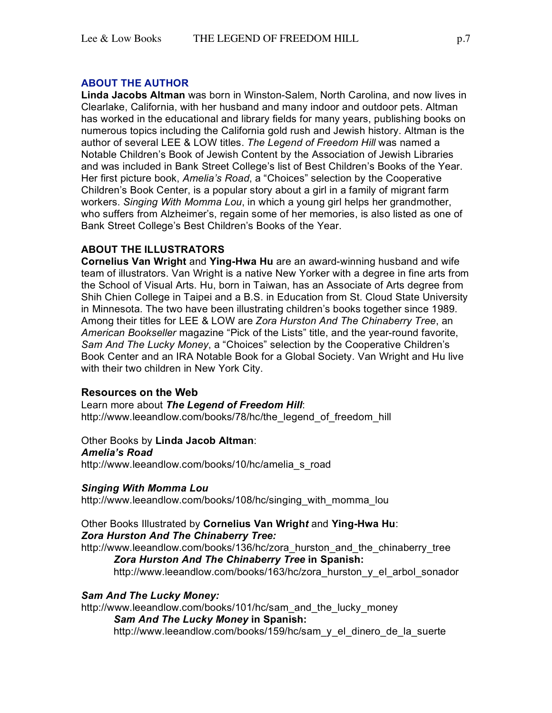## **ABOUT THE AUTHOR**

**Linda Jacobs Altman** was born in Winston-Salem, North Carolina, and now lives in Clearlake, California, with her husband and many indoor and outdoor pets. Altman has worked in the educational and library fields for many years, publishing books on numerous topics including the California gold rush and Jewish history. Altman is the author of several LEE & LOW titles. *The Legend of Freedom Hill* was named a Notable Children's Book of Jewish Content by the Association of Jewish Libraries and was included in Bank Street College's list of Best Children's Books of the Year. Her first picture book, *Amelia's Road*, a "Choices" selection by the Cooperative Children's Book Center, is a popular story about a girl in a family of migrant farm workers. *Singing With Momma Lou*, in which a young girl helps her grandmother, who suffers from Alzheimer's, regain some of her memories, is also listed as one of Bank Street College's Best Children's Books of the Year.

# **ABOUT THE ILLUSTRATORS**

**Cornelius Van Wright** and **Ying-Hwa Hu** are an award-winning husband and wife team of illustrators. Van Wright is a native New Yorker with a degree in fine arts from the School of Visual Arts. Hu, born in Taiwan, has an Associate of Arts degree from Shih Chien College in Taipei and a B.S. in Education from St. Cloud State University in Minnesota. The two have been illustrating children's books together since 1989. Among their titles for LEE & LOW are *Zora Hurston And The Chinaberry Tree*, an *American Bookseller* magazine "Pick of the Lists" title, and the year-round favorite, *Sam And The Lucky Money*, a "Choices" selection by the Cooperative Children's Book Center and an IRA Notable Book for a Global Society. Van Wright and Hu live with their two children in New York City.

### **Resources on the Web**

Learn more about *The Legend of Freedom Hill*: http://www.leeandlow.com/books/78/hc/the\_legend\_of\_freedom\_hill\_

Other Books by **Linda Jacob Altman**: *Amelia's Road* http://www.leeandlow.com/books/10/hc/amelia\_s\_road

### *Singing With Momma Lou*

http://www.leeandlow.com/books/108/hc/singing\_with\_momma\_lou

#### Other Books Illustrated by **Cornelius Van Wrigh***t* and **Ying-Hwa Hu**: *Zora Hurston And The Chinaberry Tree:*

http://www.leeandlow.com/books/136/hc/zora\_hurston\_and\_the\_chinaberry\_tree *Zora Hurston And The Chinaberry Tree* **in Spanish:** http://www.leeandlow.com/books/163/hc/zora\_hurston\_y\_el\_arbol\_sonador

### *Sam And The Lucky Money:*

http://www.leeandlow.com/books/101/hc/sam\_and\_the\_lucky\_money *Sam And The Lucky Money* **in Spanish:** http://www.leeandlow.com/books/159/hc/sam\_y\_el\_dinero\_de\_la\_suerte